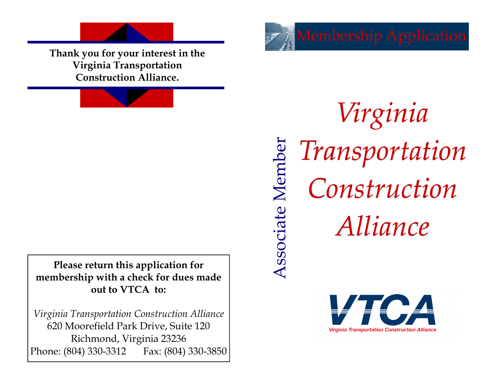

**Virginia Transportation Construction Alliance.**

**Please return this application for membership with a check for dues made out to VTCA to:** 

*Virginia Transportation Construction Alliance*  620 Moorefield Park Drive, Suite 120 Richmond, Virginia 23236 Phone: (804) 330-3312 Fax: (804) 330-3850

*Virginia Transportation*  Associate Member Associate Member *Construction Alliance*

Membership Application